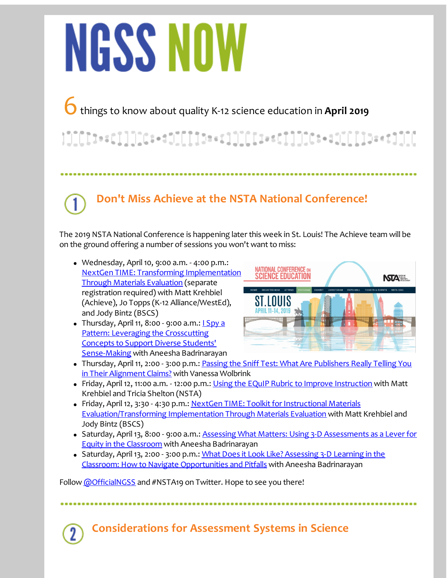# NGSS NOW

## 6things to know about quality K-12 science education in **April <sup>2019</sup>**

}]][[[t+=c]]]][c:+=t][[][t==c]]][[[i==c]]]][c:+=t][[]]]>=+t]][[

## **Don't Miss Achieve at the NSTA National Conference!**

The 2019 NSTA National Conference is happening later this week in St. Louis! The Achieve team will be on the ground offering a number of sessions you won't want to miss:

- Wednesday, April10, 9:00 a.m. 4:00 p.m.: NextGen TIME: Transforming [Implementation](https://s6.goeshow.com/nsta/national/2019/profile.cfm?profile_name=session&master_key=346209FE-9012-E911-80D4-90E2BA4C0951&page_key=7BBD997B-DCFA-D26C-2407-1917BCB4FB96&xtemplate&userLGNKEY=0) Through Materials Evaluation (separate registration required) with Matt Krehbiel (Achieve), Jo Topps (K-12 Alliance/WestEd), and Jody Bintz (BSCS)
- Thursday, April 11, 8:00 9:00 a.m.: *ISpy a* Pattern: Leveraging the Crosscutting Concepts to Support Diverse Students' [Sense-Making](https://s6.goeshow.com/nsta/national/2019/profile.cfm?profile_name=session&master_key=926209FE-9012-E911-80D4-90E2BA4C0951&page_key=7BBD997B-DCFA-D26C-2407-1917BCB4FB96&xtemplate&userLGNKEY=0) with Aneesha Badrinarayan



- Thursday, April 11, 2:00 3:00 p.m.: Passing the Sniff Test: What Are [Publishers](https://s6.goeshow.com/nsta/national/2019/profile.cfm?profile_name=session&master_key=7DB40104-9112-E911-80D4-90E2BA4C0951&page_key=7BBD997B-DCFA-D26C-2407-1917BCB4FB96&xtemplate&userLGNKEY=0) Really Telling You in Their Alignment Claims? with Vanessa Wolbrink
- Friday, April 12, 11:00 a.m. 12:00 p.m.: Using the EQuIP Rubric to Improve [Instruction](https://s6.goeshow.com/nsta/national/2019/profile.cfm?profile_name=session&master_key=0B58F20F-9112-E911-80D4-90E2BA4C0951&page_key=7BBD997B-DCFA-D26C-2407-1917BCB4FB96&xtemplate&userLGNKEY=0) with Matt Krehbiel and Tricia Shelton (NSTA)
- Friday, April 12, 3:30 4:30 p.m.: NextGen TIME: Toolkit for Instructional Materials [Evaluation/Transforming](https://s6.goeshow.com/nsta/national/2019/profile.cfm?profile_name=session&master_key=50F7E21B-9112-E911-80D4-90E2BA4C0951&page_key=7BBD997B-DCFA-D26C-2407-1917BCB4FB96&xtemplate&userLGNKEY=0) Implementation Through Materials Evaluation with Matt Krehbiel and Jody Bintz (BSCS)
- Saturday, April 13, 8:00 9:00 a.m.: Assessing What Matters: Using 3-D [Assessments](https://s6.goeshow.com/nsta/national/2019/profile.cfm?profile_name=session&master_key=81F9E21B-9112-E911-80D4-90E2BA4C0951&page_key=7BBD997B-DCFA-D26C-2407-1917BCB4FB96&xtemplate&userLGNKEY=0) as a Lever for Equity in the Classroom with Aneesha Badrinarayan
- Saturday, April 13, 2:00 3:00 p.m.: What Does it Look Like? Assessing 3-D Learning in the Classroom: How to Navigate [Opportunities](https://s6.goeshow.com/nsta/national/2019/profile.cfm?profile_name=session&master_key=EF4ACE2D-9112-E911-80D4-90E2BA4C0951&page_key=7BBD997B-DCFA-D26C-2407-1917BCB4FB96&xtemplate&userLGNKEY=0) and Pitfalls with Aneesha Badrinarayan

Follow [@OfficialNGSS](https://twitter.com/OfficialNGSS) and #NSTA19 on Twitter. Hope to see you there!

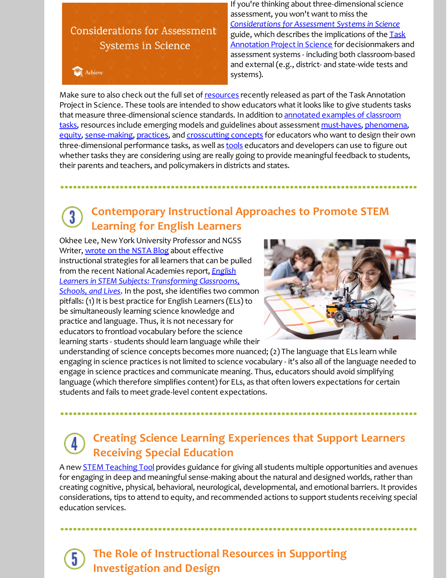## **Considerations for Assessment Systems in Science**

Achieve

If you're thinking about three-dimensional science assessment, you won't want to miss the *[Considerations](https://www.achieve.org/publications/task-annotation-project-science-systems) for Assessment Systems in Science* guide, which describes the implications of the Task Annotation Project in Science for [decisionmakers](https://www.achieve.org/our-initiatives/equip/tools-subject/science/task-annotation-project-science) and assessment systems - including both classroom-based and external(e.g., district- and state-wide tests and systems).

Make sure to also check out the full set of [resources](https://www.achieve.org/our-initiatives/equip/tools-subject/science/task-annotation-project-science) recently released as part of the Task Annotation Project in Science. These tools are intended to show educators what it looks like to give students tasks that measure [three-dimensional](https://www.achieve.org/our-initiatives/equip/tools-subject/science/task-annotation-project-science) science standards. In addition to annotated examples of classroom tasks, resources include emerging models and guidelines about assessment [must-haves](https://www.achieve.org/publications/science-task-annotations-non-negotiables), [phenomena](https://www.achieve.org/publications/science-task-annotations-phenomena), [equity](https://www.achieve.org/publications/science-task-annotations-equity), [sense-making](https://www.achieve.org/publications/science-task-annotations-sense-making), [practices](https://www.achieve.org/publications/science-task-annotations-science-and-engineering-practices), and [crosscutting](https://www.achieve.org/publications/science-task-annotations-crosscutting-concepts) concepts for educators who want to design their own three-dimensional performance tasks, as well as **[tools](https://www.nextgenscience.org/taskscreener)** educators and developers can use to figure out whether tasks they are considering using are really going to provide meaningful feedback to students, their parents and teachers, and policymakers in districts and states.

#### **Contemporary Instructional Approaches to Promote STEM**  $\overline{3}$ **Learning for English Learners**

Okhee Lee, New York University Professor and NGSS Writer, [wrote](http://nstacommunities.org/blog/2019/03/21/contemporary-instructional-approaches-to-promote-stem-learning-for-english-learners/) on the NSTA Blog about effective instructional strategies for all learners that can be pulled from the recent National Academies report, *English Learners in STEM Subjects: [Transforming](https://www.nap.edu/catalog/25182/english-learners-in-stem-subjects-transforming-classrooms-schools-and-lives) Classrooms, Schools, and Lives*. In the post, she identifies two common pitfalls: (1) It is best practice for English Learners (ELs) to be simultaneously learning science knowledge and practice and language. Thus, it is not necessary for educators to frontload vocabulary before the science learning starts - students should learn language while their



understanding of science concepts becomes more nuanced; (2) The language that ELs learn while engaging in science practices is notlimited to science vocabulary - it's also all of the language needed to engage in science practices and communicate meaning. Thus, educators should avoid simplifying language (which therefore simplifies content) for ELs, as that often lowers expectations for certain students and fails to meet grade-level content expectations.

## **Creating Science Learning Experiences that Support Learners Receiving Special Education**

A new **STEM [Teaching](http://stemteachingtools.org/brief/59) Tool** provides guidance for giving all students multiple opportunities and avenues for engaging in deep and meaningful sense-making about the natural and designed worlds, rather than creating cognitive, physical, behavioral, neurological, developmental, and emotional barriers. It provides considerations, tips to attend to equity, and recommended actions to support students receiving special education services.

### **The Role of Instructional Resources in Supporting Investigation and Design**